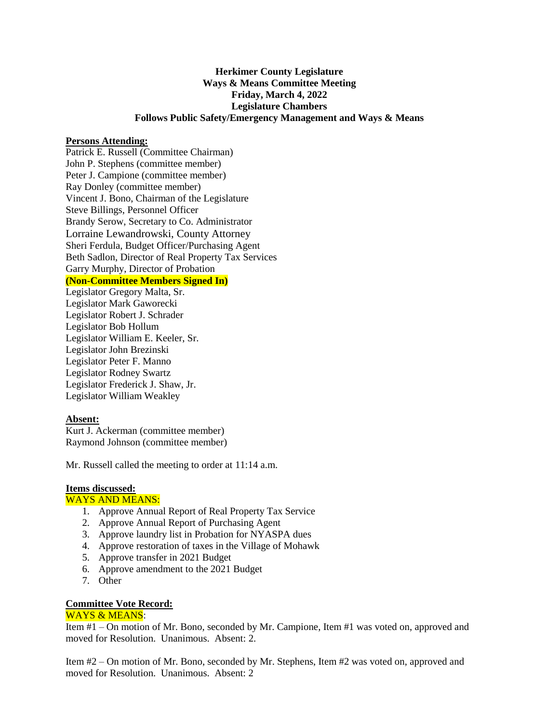# **Herkimer County Legislature Ways & Means Committee Meeting Friday, March 4, 2022 Legislature Chambers Follows Public Safety/Emergency Management and Ways & Means**

### **Persons Attending:**

Patrick E. Russell (Committee Chairman) John P. Stephens (committee member) Peter J. Campione (committee member) Ray Donley (committee member) Vincent J. Bono, Chairman of the Legislature Steve Billings, Personnel Officer Brandy Serow, Secretary to Co. Administrator Lorraine Lewandrowski, County Attorney Sheri Ferdula, Budget Officer/Purchasing Agent Beth Sadlon, Director of Real Property Tax Services Garry Murphy, Director of Probation **(Non-Committee Members Signed In)** Legislator Gregory Malta, Sr. Legislator Mark Gaworecki Legislator Robert J. Schrader Legislator Bob Hollum Legislator William E. Keeler, Sr. Legislator John Brezinski Legislator Peter F. Manno Legislator Rodney Swartz

Legislator Frederick J. Shaw, Jr. Legislator William Weakley

## **Absent:**

Kurt J. Ackerman (committee member) Raymond Johnson (committee member)

Mr. Russell called the meeting to order at 11:14 a.m.

## **Items discussed:**

## WAYS AND MEANS:

- 1. Approve Annual Report of Real Property Tax Service
- 2. Approve Annual Report of Purchasing Agent
- 3. Approve laundry list in Probation for NYASPA dues
- 4. Approve restoration of taxes in the Village of Mohawk
- 5. Approve transfer in 2021 Budget
- 6. Approve amendment to the 2021 Budget
- 7. Other

## **Committee Vote Record:**

## WAYS & MEANS:

Item #1 – On motion of Mr. Bono, seconded by Mr. Campione, Item #1 was voted on, approved and moved for Resolution. Unanimous. Absent: 2.

Item #2 – On motion of Mr. Bono, seconded by Mr. Stephens, Item #2 was voted on, approved and moved for Resolution. Unanimous. Absent: 2